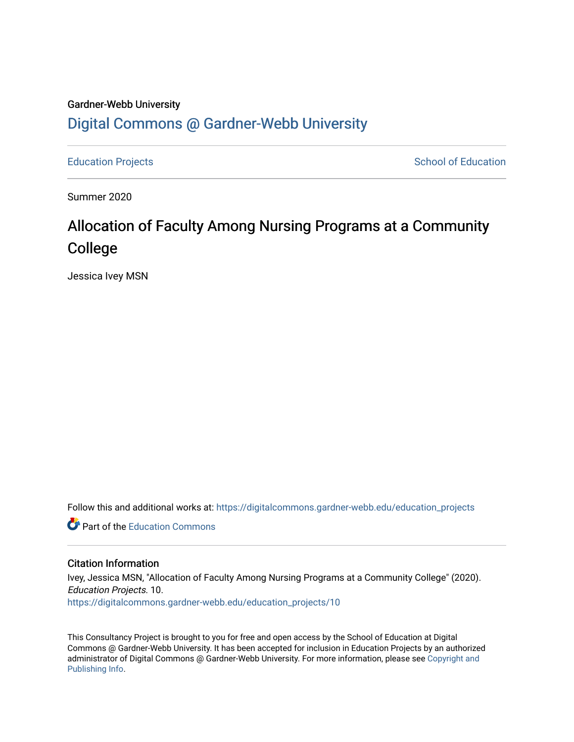# Gardner-Webb University [Digital Commons @ Gardner-Webb University](https://digitalcommons.gardner-webb.edu/)

[Education Projects](https://digitalcommons.gardner-webb.edu/education_projects) **School of Education** School of Education

Summer 2020

# Allocation of Faculty Among Nursing Programs at a Community College

Jessica Ivey MSN

Follow this and additional works at: [https://digitalcommons.gardner-webb.edu/education\\_projects](https://digitalcommons.gardner-webb.edu/education_projects?utm_source=digitalcommons.gardner-webb.edu%2Feducation_projects%2F10&utm_medium=PDF&utm_campaign=PDFCoverPages) 

**C** Part of the [Education Commons](http://network.bepress.com/hgg/discipline/784?utm_source=digitalcommons.gardner-webb.edu%2Feducation_projects%2F10&utm_medium=PDF&utm_campaign=PDFCoverPages)

### Citation Information

Ivey, Jessica MSN, "Allocation of Faculty Among Nursing Programs at a Community College" (2020). Education Projects. 10. [https://digitalcommons.gardner-webb.edu/education\\_projects/10](https://digitalcommons.gardner-webb.edu/education_projects/10?utm_source=digitalcommons.gardner-webb.edu%2Feducation_projects%2F10&utm_medium=PDF&utm_campaign=PDFCoverPages)

This Consultancy Project is brought to you for free and open access by the School of Education at Digital Commons @ Gardner-Webb University. It has been accepted for inclusion in Education Projects by an authorized administrator of Digital Commons @ Gardner-Webb University. For more information, please see [Copyright and](https://digitalcommons.gardner-webb.edu/copyright_publishing.html)  [Publishing Info.](https://digitalcommons.gardner-webb.edu/copyright_publishing.html)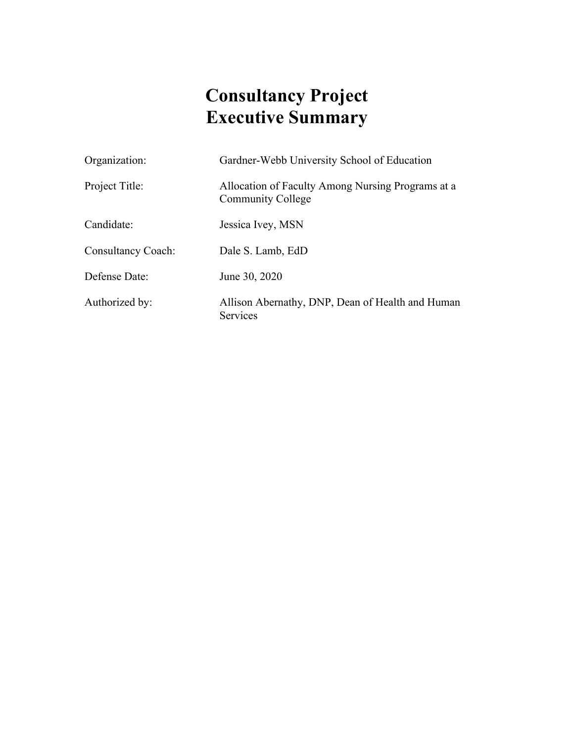# **Consultancy Project Executive Summary**

| Organization:             | Gardner-Webb University School of Education                                   |
|---------------------------|-------------------------------------------------------------------------------|
| Project Title:            | Allocation of Faculty Among Nursing Programs at a<br><b>Community College</b> |
| Candidate:                | Jessica Ivey, MSN                                                             |
| <b>Consultancy Coach:</b> | Dale S. Lamb, EdD                                                             |
| Defense Date:             | June 30, 2020                                                                 |
| Authorized by:            | Allison Abernathy, DNP, Dean of Health and Human<br><b>Services</b>           |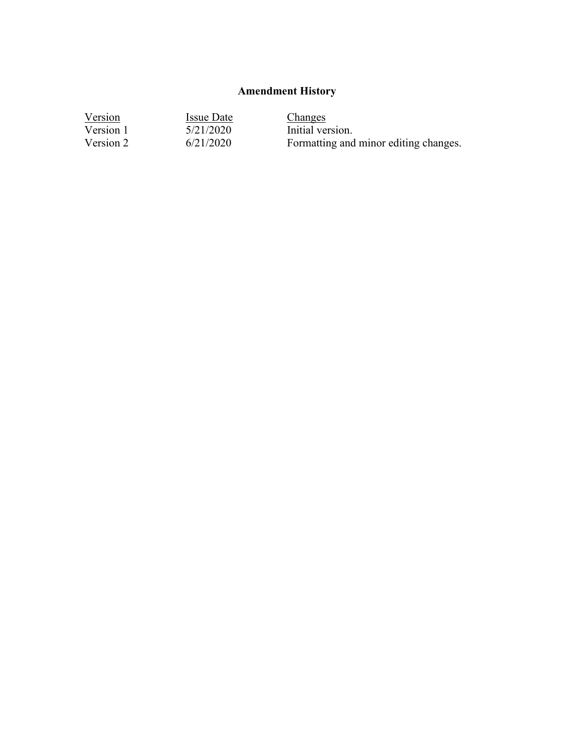# **Amendment History**

| Version   | Issue Date | Changes                               |
|-----------|------------|---------------------------------------|
| Version 1 | 5/21/2020  | Initial version.                      |
| Version 2 | 6/21/2020  | Formatting and minor editing changes. |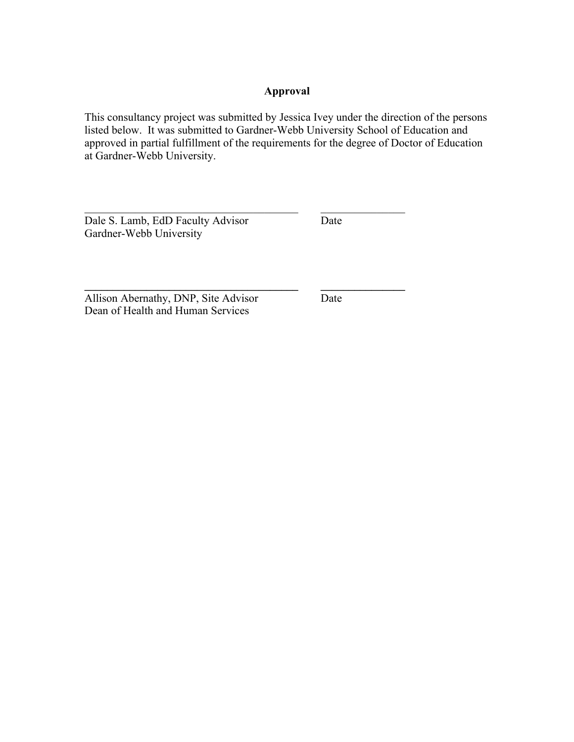### **Approval**

This consultancy project was submitted by Jessica Ivey under the direction of the persons listed below. It was submitted to Gardner-Webb University School of Education and approved in partial fulfillment of the requirements for the degree of Doctor of Education at Gardner-Webb University.

 $\mathcal{L}_\text{max}$  , and the contribution of the contribution of  $\mathcal{L}_\text{max}$ 

**\_\_\_\_\_\_\_\_\_\_\_\_\_\_\_\_\_\_\_\_\_\_\_\_\_\_\_\_\_\_\_\_\_\_\_\_\_\_ \_\_\_\_\_\_\_\_\_\_\_\_\_\_\_**

Dale S. Lamb, EdD Faculty Advisor Date Gardner-Webb University

Allison Abernathy, DNP, Site Advisor Date Dean of Health and Human Services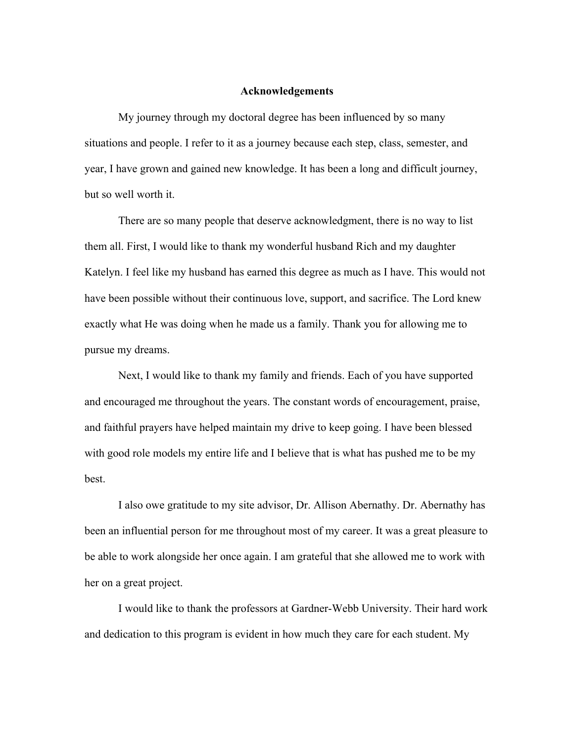#### **Acknowledgements**

My journey through my doctoral degree has been influenced by so many situations and people. I refer to it as a journey because each step, class, semester, and year, I have grown and gained new knowledge. It has been a long and difficult journey, but so well worth it.

There are so many people that deserve acknowledgment, there is no way to list them all. First, I would like to thank my wonderful husband Rich and my daughter Katelyn. I feel like my husband has earned this degree as much as I have. This would not have been possible without their continuous love, support, and sacrifice. The Lord knew exactly what He was doing when he made us a family. Thank you for allowing me to pursue my dreams.

Next, I would like to thank my family and friends. Each of you have supported and encouraged me throughout the years. The constant words of encouragement, praise, and faithful prayers have helped maintain my drive to keep going. I have been blessed with good role models my entire life and I believe that is what has pushed me to be my best.

I also owe gratitude to my site advisor, Dr. Allison Abernathy. Dr. Abernathy has been an influential person for me throughout most of my career. It was a great pleasure to be able to work alongside her once again. I am grateful that she allowed me to work with her on a great project.

I would like to thank the professors at Gardner-Webb University. Their hard work and dedication to this program is evident in how much they care for each student. My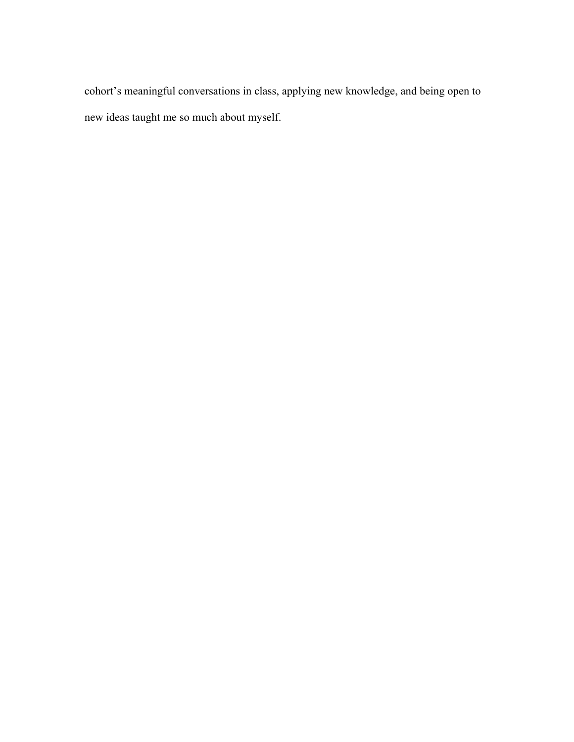cohort's meaningful conversations in class, applying new knowledge, and being open to new ideas taught me so much about myself.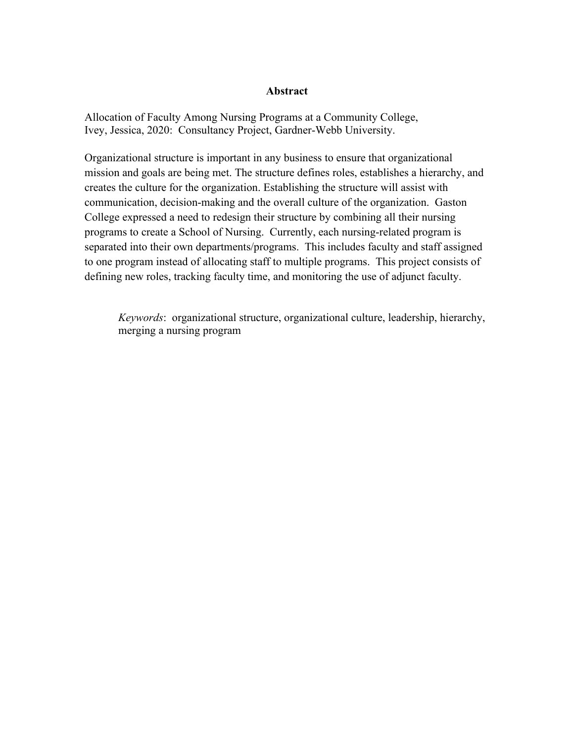### **Abstract**

Allocation of Faculty Among Nursing Programs at a Community College, Ivey, Jessica, 2020: Consultancy Project, Gardner-Webb University.

Organizational structure is important in any business to ensure that organizational mission and goals are being met. The structure defines roles, establishes a hierarchy, and creates the culture for the organization. Establishing the structure will assist with communication, decision-making and the overall culture of the organization. Gaston College expressed a need to redesign their structure by combining all their nursing programs to create a School of Nursing. Currently, each nursing-related program is separated into their own departments/programs. This includes faculty and staff assigned to one program instead of allocating staff to multiple programs. This project consists of defining new roles, tracking faculty time, and monitoring the use of adjunct faculty.

*Keywords*: organizational structure, organizational culture, leadership, hierarchy, merging a nursing program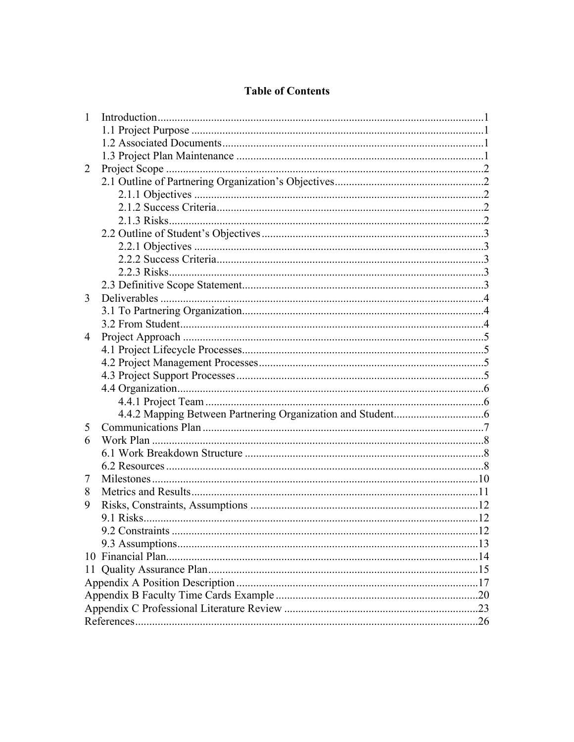### **Table of Contents**

| $\mathbf{1}$ |  |
|--------------|--|
|              |  |
|              |  |
|              |  |
| 2            |  |
|              |  |
|              |  |
|              |  |
|              |  |
|              |  |
|              |  |
|              |  |
|              |  |
|              |  |
| 3            |  |
|              |  |
|              |  |
| 4            |  |
|              |  |
|              |  |
|              |  |
|              |  |
|              |  |
|              |  |
| 5            |  |
| 6            |  |
|              |  |
|              |  |
| 7            |  |
| 8            |  |
| 9            |  |
|              |  |
|              |  |
|              |  |
|              |  |
|              |  |
|              |  |
|              |  |
|              |  |
|              |  |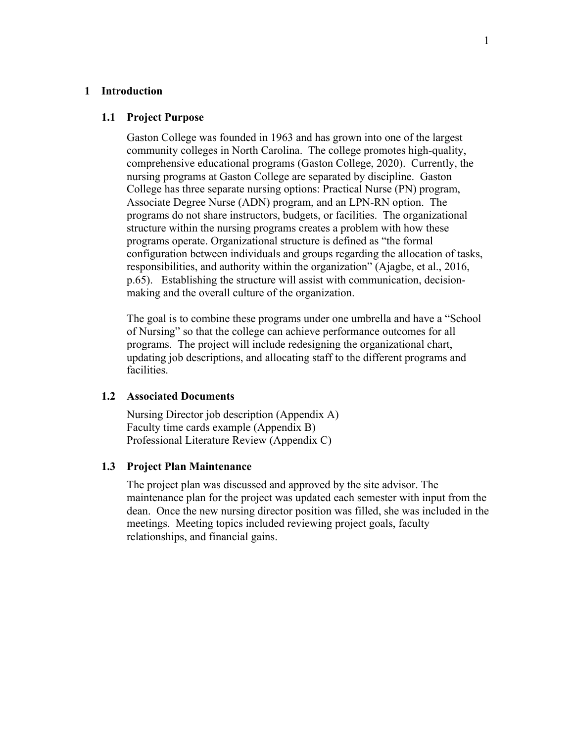#### **1 Introduction**

#### **1.1 Project Purpose**

Gaston College was founded in 1963 and has grown into one of the largest community colleges in North Carolina. The college promotes high-quality, comprehensive educational programs (Gaston College, 2020). Currently, the nursing programs at Gaston College are separated by discipline. Gaston College has three separate nursing options: Practical Nurse (PN) program, Associate Degree Nurse (ADN) program, and an LPN-RN option. The programs do not share instructors, budgets, or facilities. The organizational structure within the nursing programs creates a problem with how these programs operate. Organizational structure is defined as "the formal configuration between individuals and groups regarding the allocation of tasks, responsibilities, and authority within the organization" (Ajagbe, et al., 2016, p.65). Establishing the structure will assist with communication, decisionmaking and the overall culture of the organization.

The goal is to combine these programs under one umbrella and have a "School of Nursing" so that the college can achieve performance outcomes for all programs. The project will include redesigning the organizational chart, updating job descriptions, and allocating staff to the different programs and facilities.

### **1.2 Associated Documents**

Nursing Director job description (Appendix A) Faculty time cards example (Appendix B) Professional Literature Review (Appendix C)

### **1.3 Project Plan Maintenance**

The project plan was discussed and approved by the site advisor. The maintenance plan for the project was updated each semester with input from the dean. Once the new nursing director position was filled, she was included in the meetings. Meeting topics included reviewing project goals, faculty relationships, and financial gains.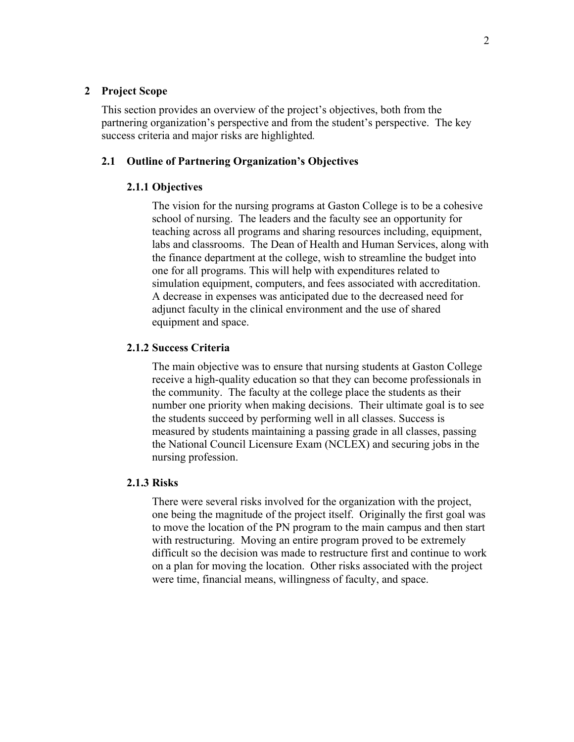### **2 Project Scope**

This section provides an overview of the project's objectives, both from the partnering organization's perspective and from the student's perspective. The key success criteria and major risks are highlighted*.*

### **2.1 Outline of Partnering Organization's Objectives**

### **2.1.1 Objectives**

The vision for the nursing programs at Gaston College is to be a cohesive school of nursing. The leaders and the faculty see an opportunity for teaching across all programs and sharing resources including, equipment, labs and classrooms. The Dean of Health and Human Services, along with the finance department at the college, wish to streamline the budget into one for all programs. This will help with expenditures related to simulation equipment, computers, and fees associated with accreditation. A decrease in expenses was anticipated due to the decreased need for adjunct faculty in the clinical environment and the use of shared equipment and space.

### **2.1.2 Success Criteria**

The main objective was to ensure that nursing students at Gaston College receive a high-quality education so that they can become professionals in the community. The faculty at the college place the students as their number one priority when making decisions. Their ultimate goal is to see the students succeed by performing well in all classes. Success is measured by students maintaining a passing grade in all classes, passing the National Council Licensure Exam (NCLEX) and securing jobs in the nursing profession.

### **2.1.3 Risks**

There were several risks involved for the organization with the project, one being the magnitude of the project itself. Originally the first goal was to move the location of the PN program to the main campus and then start with restructuring. Moving an entire program proved to be extremely difficult so the decision was made to restructure first and continue to work on a plan for moving the location. Other risks associated with the project were time, financial means, willingness of faculty, and space.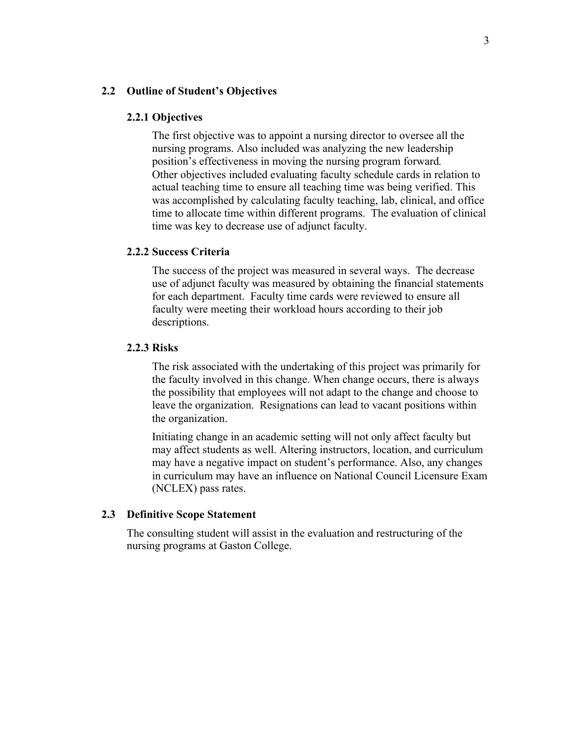#### **2.2 Outline of Student's Objectives**

#### **2.2.1 Objectives**

The first objective was to appoint a nursing director to oversee all the nursing programs. Also included was analyzing the new leadership position's effectiveness in moving the nursing program forward*.*  Other objectives included evaluating faculty schedule cards in relation to actual teaching time to ensure all teaching time was being verified. This was accomplished by calculating faculty teaching, lab, clinical, and office time to allocate time within different programs. The evaluation of clinical time was key to decrease use of adjunct faculty.

### **2.2.2 Success Criteria**

The success of the project was measured in several ways. The decrease use of adjunct faculty was measured by obtaining the financial statements for each department. Faculty time cards were reviewed to ensure all faculty were meeting their workload hours according to their job descriptions.

### **2.2.3 Risks**

The risk associated with the undertaking of this project was primarily for the faculty involved in this change. When change occurs, there is always the possibility that employees will not adapt to the change and choose to leave the organization. Resignations can lead to vacant positions within the organization.

Initiating change in an academic setting will not only affect faculty but may affect students as well. Altering instructors, location, and curriculum may have a negative impact on student's performance. Also, any changes in curriculum may have an influence on National Council Licensure Exam (NCLEX) pass rates.

#### **2.3 Definitive Scope Statement**

The consulting student will assist in the evaluation and restructuring of the nursing programs at Gaston College.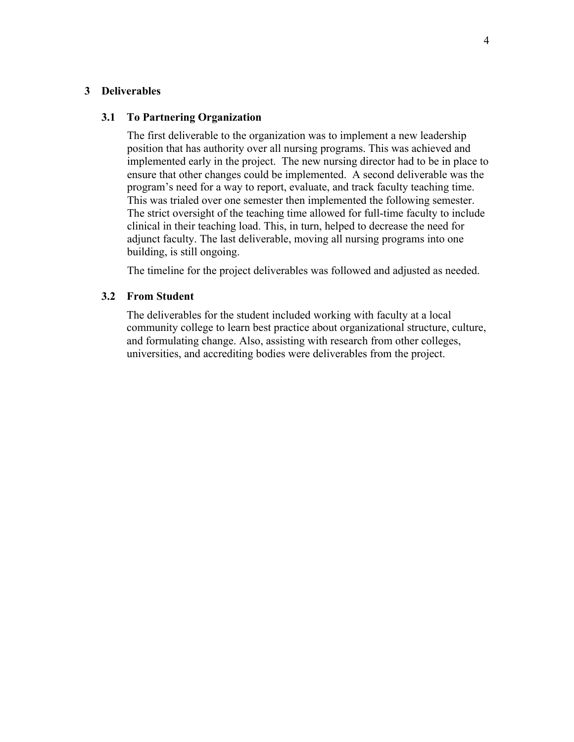### **3 Deliverables**

### **3.1 To Partnering Organization**

The first deliverable to the organization was to implement a new leadership position that has authority over all nursing programs. This was achieved and implemented early in the project. The new nursing director had to be in place to ensure that other changes could be implemented. A second deliverable was the program's need for a way to report, evaluate, and track faculty teaching time. This was trialed over one semester then implemented the following semester. The strict oversight of the teaching time allowed for full-time faculty to include clinical in their teaching load. This, in turn, helped to decrease the need for adjunct faculty. The last deliverable, moving all nursing programs into one building, is still ongoing.

The timeline for the project deliverables was followed and adjusted as needed.

### **3.2 From Student**

The deliverables for the student included working with faculty at a local community college to learn best practice about organizational structure, culture, and formulating change. Also, assisting with research from other colleges, universities, and accrediting bodies were deliverables from the project.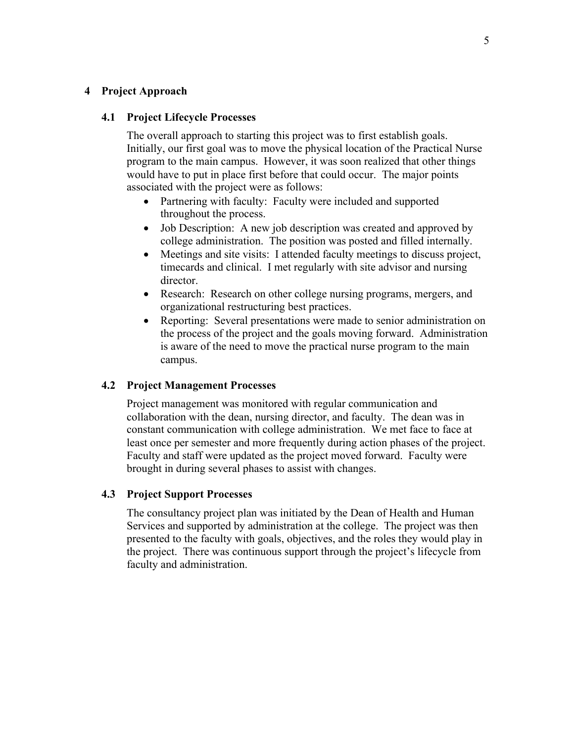### **4 Project Approach**

### **4.1 Project Lifecycle Processes**

The overall approach to starting this project was to first establish goals. Initially, our first goal was to move the physical location of the Practical Nurse program to the main campus. However, it was soon realized that other things would have to put in place first before that could occur. The major points associated with the project were as follows:

- Partnering with faculty: Faculty were included and supported throughout the process.
- Job Description: A new job description was created and approved by college administration. The position was posted and filled internally.
- Meetings and site visits: I attended faculty meetings to discuss project, timecards and clinical. I met regularly with site advisor and nursing director.
- Research: Research on other college nursing programs, mergers, and organizational restructuring best practices.
- Reporting: Several presentations were made to senior administration on the process of the project and the goals moving forward. Administration is aware of the need to move the practical nurse program to the main campus.

### **4.2 Project Management Processes**

Project management was monitored with regular communication and collaboration with the dean, nursing director, and faculty. The dean was in constant communication with college administration. We met face to face at least once per semester and more frequently during action phases of the project. Faculty and staff were updated as the project moved forward. Faculty were brought in during several phases to assist with changes.

### **4.3 Project Support Processes**

The consultancy project plan was initiated by the Dean of Health and Human Services and supported by administration at the college. The project was then presented to the faculty with goals, objectives, and the roles they would play in the project. There was continuous support through the project's lifecycle from faculty and administration.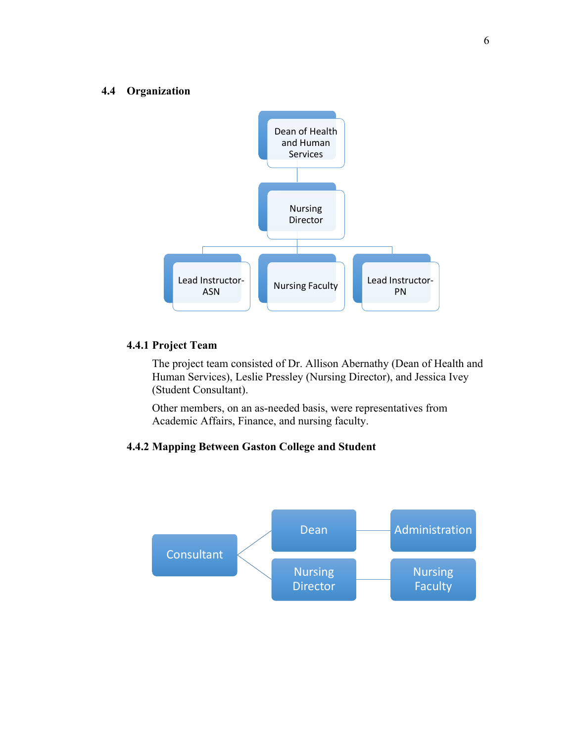### **4.4 Organization**



### **4.4.1 Project Team**

The project team consisted of Dr. Allison Abernathy (Dean of Health and Human Services), Leslie Pressley (Nursing Director), and Jessica Ivey (Student Consultant).

Other members, on an as-needed basis, were representatives from Academic Affairs, Finance, and nursing faculty.

### **4.4.2 Mapping Between Gaston College and Student**

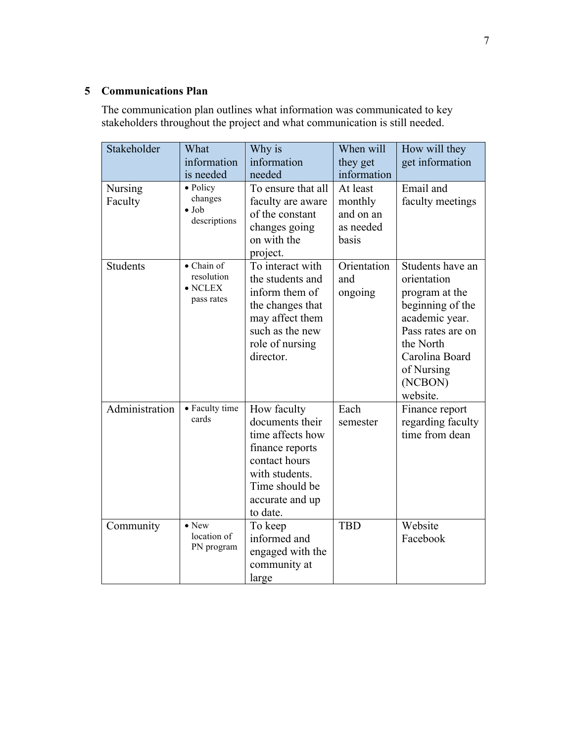### **5 Communications Plan**

The communication plan outlines what information was communicated to key stakeholders throughout the project and what communication is still needed.

| Stakeholder               | What<br>information<br>is needed                          | Why is<br>information<br>needed                                                                                                                           | When will<br>they get<br>information                   | How will they<br>get information                                                                                                                                                 |
|---------------------------|-----------------------------------------------------------|-----------------------------------------------------------------------------------------------------------------------------------------------------------|--------------------------------------------------------|----------------------------------------------------------------------------------------------------------------------------------------------------------------------------------|
| <b>Nursing</b><br>Faculty | • Policy<br>changes<br>$\bullet$ Job<br>descriptions      | To ensure that all<br>faculty are aware<br>of the constant<br>changes going<br>on with the<br>project.                                                    | At least<br>monthly<br>and on an<br>as needed<br>basis | Email and<br>faculty meetings                                                                                                                                                    |
| Students                  | • Chain of<br>resolution<br>$\bullet$ NCLEX<br>pass rates | To interact with<br>the students and<br>inform them of<br>the changes that<br>may affect them<br>such as the new<br>role of nursing<br>director.          | Orientation<br>and<br>ongoing                          | Students have an<br>orientation<br>program at the<br>beginning of the<br>academic year.<br>Pass rates are on<br>the North<br>Carolina Board<br>of Nursing<br>(NCBON)<br>website. |
| Administration            | • Faculty time<br>cards                                   | How faculty<br>documents their<br>time affects how<br>finance reports<br>contact hours<br>with students.<br>Time should be<br>accurate and up<br>to date. | Each<br>semester                                       | Finance report<br>regarding faculty<br>time from dean                                                                                                                            |
| Community                 | $\bullet$ New<br>location of<br>PN program                | To keep<br>informed and<br>engaged with the<br>community at<br>large                                                                                      | <b>TBD</b>                                             | Website<br>Facebook                                                                                                                                                              |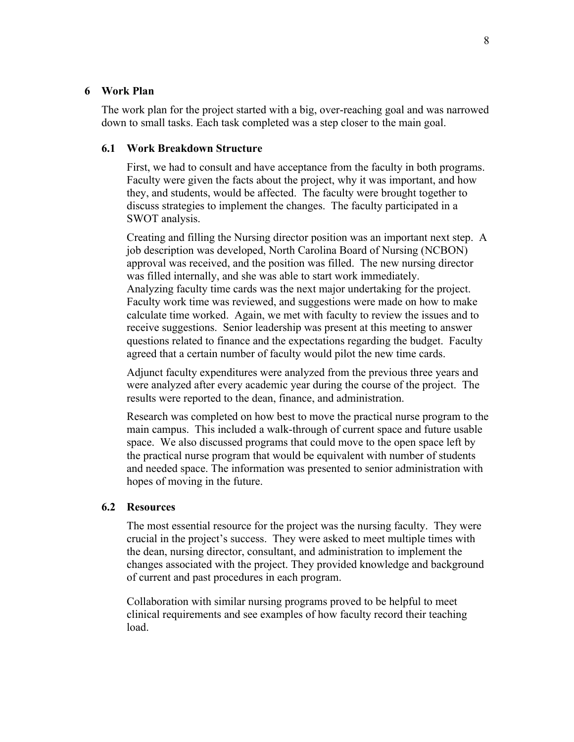### **6 Work Plan**

The work plan for the project started with a big, over-reaching goal and was narrowed down to small tasks. Each task completed was a step closer to the main goal.

### **6.1 Work Breakdown Structure**

First, we had to consult and have acceptance from the faculty in both programs. Faculty were given the facts about the project, why it was important, and how they, and students, would be affected. The faculty were brought together to discuss strategies to implement the changes. The faculty participated in a SWOT analysis.

Creating and filling the Nursing director position was an important next step. A job description was developed, North Carolina Board of Nursing (NCBON) approval was received, and the position was filled. The new nursing director was filled internally, and she was able to start work immediately. Analyzing faculty time cards was the next major undertaking for the project. Faculty work time was reviewed, and suggestions were made on how to make calculate time worked. Again, we met with faculty to review the issues and to receive suggestions. Senior leadership was present at this meeting to answer questions related to finance and the expectations regarding the budget. Faculty agreed that a certain number of faculty would pilot the new time cards.

Adjunct faculty expenditures were analyzed from the previous three years and were analyzed after every academic year during the course of the project. The results were reported to the dean, finance, and administration.

Research was completed on how best to move the practical nurse program to the main campus. This included a walk-through of current space and future usable space. We also discussed programs that could move to the open space left by the practical nurse program that would be equivalent with number of students and needed space. The information was presented to senior administration with hopes of moving in the future.

### **6.2 Resources**

The most essential resource for the project was the nursing faculty. They were crucial in the project's success. They were asked to meet multiple times with the dean, nursing director, consultant, and administration to implement the changes associated with the project. They provided knowledge and background of current and past procedures in each program.

Collaboration with similar nursing programs proved to be helpful to meet clinical requirements and see examples of how faculty record their teaching load.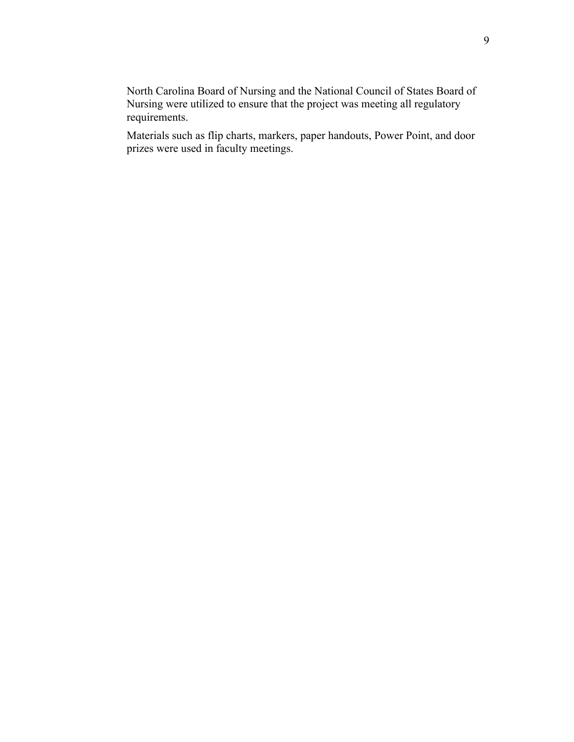North Carolina Board of Nursing and the National Council of States Board of Nursing were utilized to ensure that the project was meeting all regulatory requirements.

Materials such as flip charts, markers, paper handouts, Power Point, and door prizes were used in faculty meetings.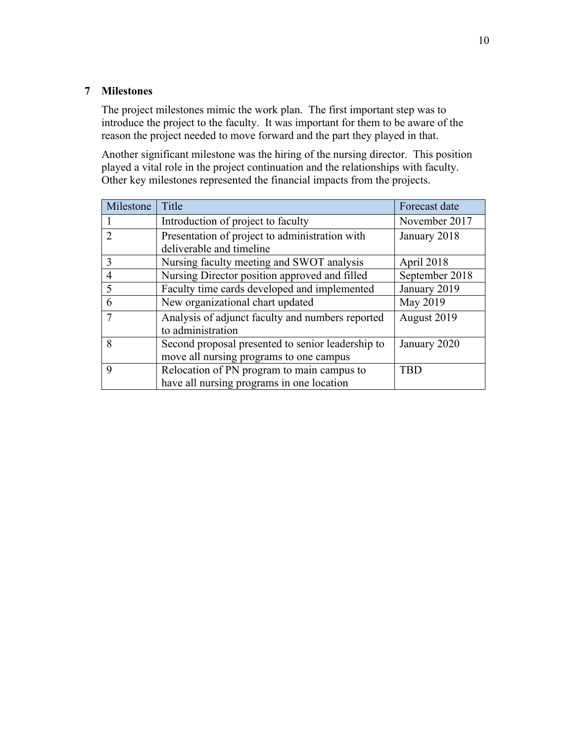### **7 Milestones**

The project milestones mimic the work plan. The first important step was to introduce the project to the faculty. It was important for them to be aware of the reason the project needed to move forward and the part they played in that.

Another significant milestone was the hiring of the nursing director. This position played a vital role in the project continuation and the relationships with faculty. Other key milestones represented the financial impacts from the projects.

| Milestone      | Title                                                                 | Forecast date  |
|----------------|-----------------------------------------------------------------------|----------------|
|                | Introduction of project to faculty                                    | November 2017  |
|                | Presentation of project to administration with                        | January 2018   |
|                | deliverable and timeline                                              |                |
| 3              | Nursing faculty meeting and SWOT analysis                             | April 2018     |
| $\overline{4}$ | Nursing Director position approved and filled                         | September 2018 |
|                | Faculty time cards developed and implemented                          | January 2019   |
| 6              | New organizational chart updated                                      | May 2019       |
|                | Analysis of adjunct faculty and numbers reported<br>to administration | August 2019    |
| 8              | Second proposal presented to senior leadership to                     | January 2020   |
|                | move all nursing programs to one campus                               |                |
| 9              | Relocation of PN program to main campus to                            | <b>TBD</b>     |
|                | have all nursing programs in one location                             |                |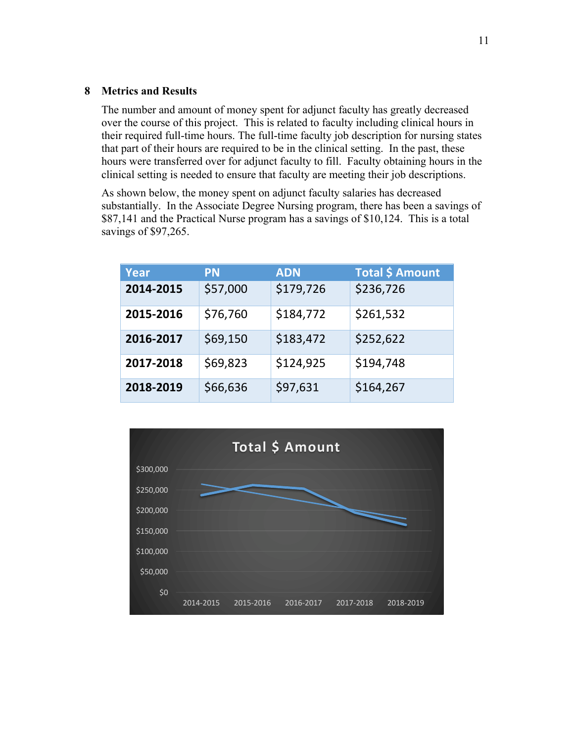### **8 Metrics and Results**

The number and amount of money spent for adjunct faculty has greatly decreased over the course of this project. This is related to faculty including clinical hours in their required full-time hours. The full-time faculty job description for nursing states that part of their hours are required to be in the clinical setting. In the past, these hours were transferred over for adjunct faculty to fill. Faculty obtaining hours in the clinical setting is needed to ensure that faculty are meeting their job descriptions.

As shown below, the money spent on adjunct faculty salaries has decreased substantially. In the Associate Degree Nursing program, there has been a savings of \$87,141 and the Practical Nurse program has a savings of \$10,124. This is a total savings of \$97,265.

| Year      | <b>PN</b> | <b>ADN</b> | <b>Total \$ Amount</b> |
|-----------|-----------|------------|------------------------|
| 2014-2015 | \$57,000  | \$179,726  | \$236,726              |
| 2015-2016 | \$76,760  | \$184,772  | \$261,532              |
| 2016-2017 | \$69,150  | \$183,472  | \$252,622              |
| 2017-2018 | \$69,823  | \$124,925  | \$194,748              |
| 2018-2019 | \$66,636  | \$97,631   | \$164,267              |

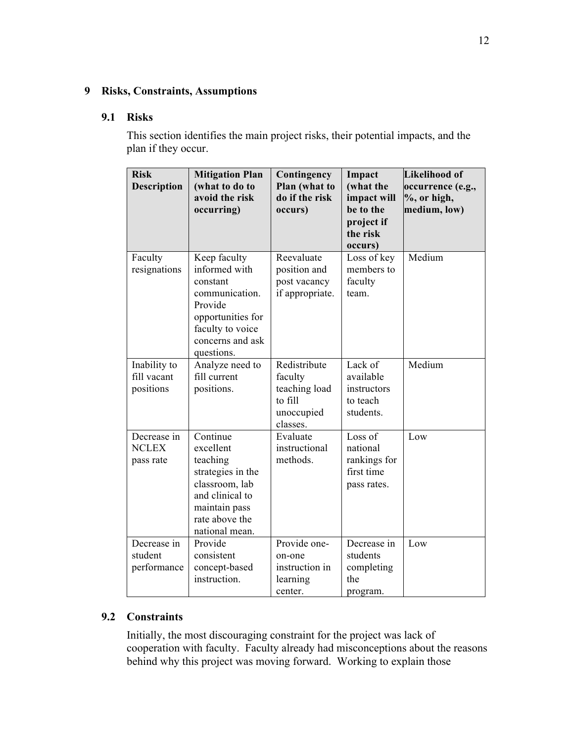### **9 Risks, Constraints, Assumptions**

### **9.1 Risks**

This section identifies the main project risks, their potential impacts, and the plan if they occur.

| <b>Risk</b><br><b>Description</b>        | <b>Mitigation Plan</b><br>(what to do to<br>avoid the risk<br>occurring)                                                                          | Contingency<br>Plan (what to<br>do if the risk<br>occurs)                     | Impact<br>(what the<br>impact will<br>be to the<br>project if<br>the risk<br>occurs) | Likelihood of<br>occurrence (e.g.,<br>$%$ , or high,<br>medium, low) |
|------------------------------------------|---------------------------------------------------------------------------------------------------------------------------------------------------|-------------------------------------------------------------------------------|--------------------------------------------------------------------------------------|----------------------------------------------------------------------|
| Faculty<br>resignations                  | Keep faculty<br>informed with<br>constant<br>communication.<br>Provide<br>opportunities for<br>faculty to voice<br>concerns and ask<br>questions. | Reevaluate<br>position and<br>post vacancy<br>if appropriate.                 | Loss of key<br>members to<br>faculty<br>team                                         | Medium                                                               |
| Inability to<br>fill vacant<br>positions | Analyze need to<br>fill current<br>positions.                                                                                                     | Redistribute<br>faculty<br>teaching load<br>to fill<br>unoccupied<br>classes. | Lack of<br>available<br>instructors<br>to teach<br>students.                         | Medium                                                               |
| Decrease in<br><b>NCLEX</b><br>pass rate | Continue<br>excellent<br>teaching<br>strategies in the<br>classroom, lab<br>and clinical to<br>maintain pass<br>rate above the<br>national mean.  | Evaluate<br>instructional<br>methods.                                         | Loss of<br>national<br>rankings for<br>first time<br>pass rates.                     | Low                                                                  |
| Decrease in<br>student<br>performance    | Provide<br>consistent<br>concept-based<br>instruction.                                                                                            | Provide one-<br>on-one<br>instruction in<br>learning<br>center.               | Decrease in<br>students<br>completing<br>the<br>program.                             | Low                                                                  |

### **9.2 Constraints**

Initially, the most discouraging constraint for the project was lack of cooperation with faculty. Faculty already had misconceptions about the reasons behind why this project was moving forward. Working to explain those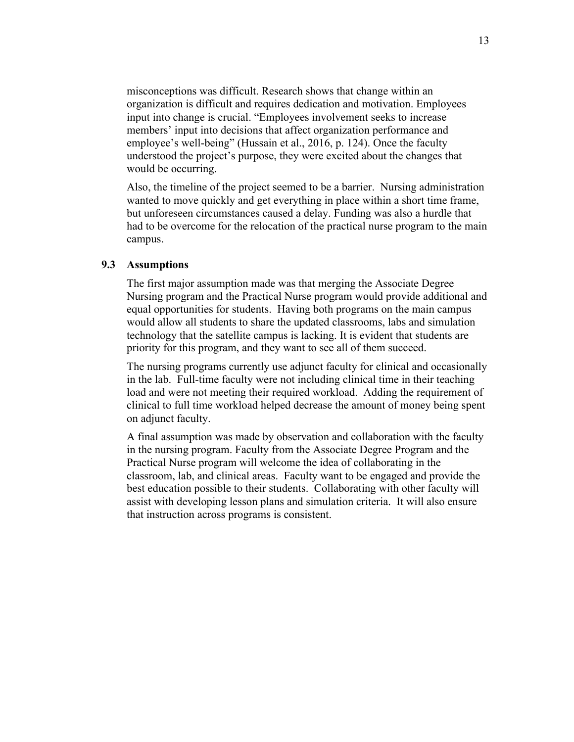misconceptions was difficult. Research shows that change within an organization is difficult and requires dedication and motivation. Employees input into change is crucial. "Employees involvement seeks to increase members' input into decisions that affect organization performance and employee's well-being" (Hussain et al., 2016, p. 124). Once the faculty understood the project's purpose, they were excited about the changes that would be occurring.

Also, the timeline of the project seemed to be a barrier. Nursing administration wanted to move quickly and get everything in place within a short time frame, but unforeseen circumstances caused a delay. Funding was also a hurdle that had to be overcome for the relocation of the practical nurse program to the main campus.

### **9.3 Assumptions**

The first major assumption made was that merging the Associate Degree Nursing program and the Practical Nurse program would provide additional and equal opportunities for students. Having both programs on the main campus would allow all students to share the updated classrooms, labs and simulation technology that the satellite campus is lacking. It is evident that students are priority for this program, and they want to see all of them succeed.

The nursing programs currently use adjunct faculty for clinical and occasionally in the lab. Full-time faculty were not including clinical time in their teaching load and were not meeting their required workload. Adding the requirement of clinical to full time workload helped decrease the amount of money being spent on adjunct faculty.

A final assumption was made by observation and collaboration with the faculty in the nursing program. Faculty from the Associate Degree Program and the Practical Nurse program will welcome the idea of collaborating in the classroom, lab, and clinical areas.Faculty want to be engaged and provide the best education possible to their students. Collaborating with other faculty will assist with developing lesson plans and simulation criteria. It will also ensure that instruction across programs is consistent.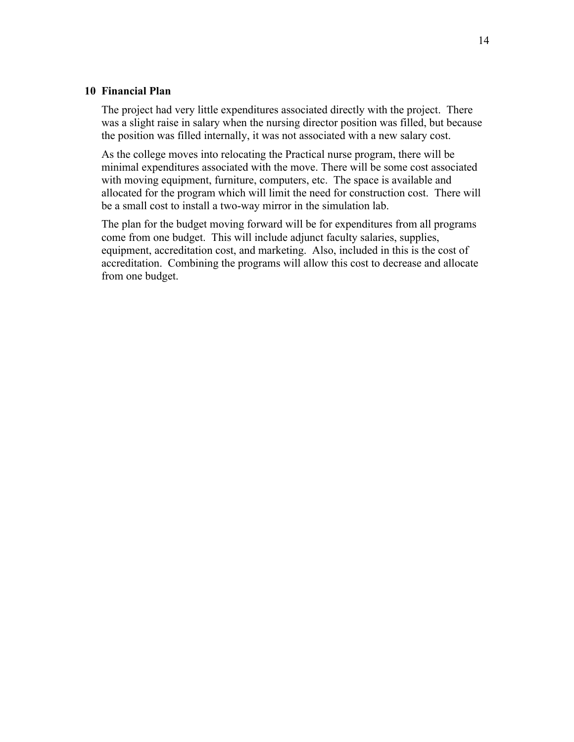### **10 Financial Plan**

The project had very little expenditures associated directly with the project. There was a slight raise in salary when the nursing director position was filled, but because the position was filled internally, it was not associated with a new salary cost.

As the college moves into relocating the Practical nurse program, there will be minimal expenditures associated with the move. There will be some cost associated with moving equipment, furniture, computers, etc. The space is available and allocated for the program which will limit the need for construction cost. There will be a small cost to install a two-way mirror in the simulation lab.

The plan for the budget moving forward will be for expenditures from all programs come from one budget. This will include adjunct faculty salaries, supplies, equipment, accreditation cost, and marketing. Also, included in this is the cost of accreditation. Combining the programs will allow this cost to decrease and allocate from one budget.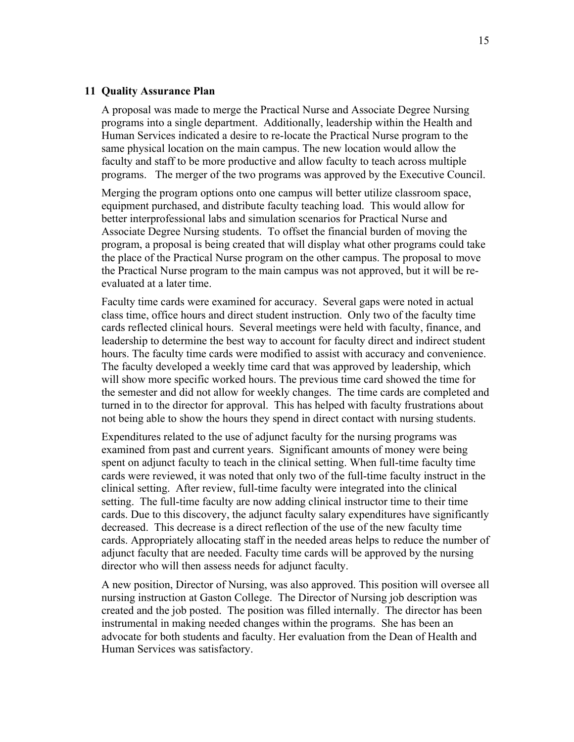#### **11 Quality Assurance Plan**

A proposal was made to merge the Practical Nurse and Associate Degree Nursing programs into a single department. Additionally, leadership within the Health and Human Services indicated a desire to re-locate the Practical Nurse program to the same physical location on the main campus. The new location would allow the faculty and staff to be more productive and allow faculty to teach across multiple programs. The merger of the two programs was approved by the Executive Council.

Merging the program options onto one campus will better utilize classroom space, equipment purchased, and distribute faculty teaching load. This would allow for better interprofessional labs and simulation scenarios for Practical Nurse and Associate Degree Nursing students. To offset the financial burden of moving the program, a proposal is being created that will display what other programs could take the place of the Practical Nurse program on the other campus. The proposal to move the Practical Nurse program to the main campus was not approved, but it will be reevaluated at a later time.

Faculty time cards were examined for accuracy. Several gaps were noted in actual class time, office hours and direct student instruction. Only two of the faculty time cards reflected clinical hours. Several meetings were held with faculty, finance, and leadership to determine the best way to account for faculty direct and indirect student hours. The faculty time cards were modified to assist with accuracy and convenience. The faculty developed a weekly time card that was approved by leadership, which will show more specific worked hours. The previous time card showed the time for the semester and did not allow for weekly changes. The time cards are completed and turned in to the director for approval. This has helped with faculty frustrations about not being able to show the hours they spend in direct contact with nursing students.

Expenditures related to the use of adjunct faculty for the nursing programs was examined from past and current years. Significant amounts of money were being spent on adjunct faculty to teach in the clinical setting. When full-time faculty time cards were reviewed, it was noted that only two of the full-time faculty instruct in the clinical setting. After review, full-time faculty were integrated into the clinical setting. The full-time faculty are now adding clinical instructor time to their time cards. Due to this discovery, the adjunct faculty salary expenditures have significantly decreased. This decrease is a direct reflection of the use of the new faculty time cards. Appropriately allocating staff in the needed areas helps to reduce the number of adjunct faculty that are needed. Faculty time cards will be approved by the nursing director who will then assess needs for adjunct faculty.

A new position, Director of Nursing, was also approved. This position will oversee all nursing instruction at Gaston College. The Director of Nursing job description was created and the job posted. The position was filled internally. The director has been instrumental in making needed changes within the programs. She has been an advocate for both students and faculty. Her evaluation from the Dean of Health and Human Services was satisfactory.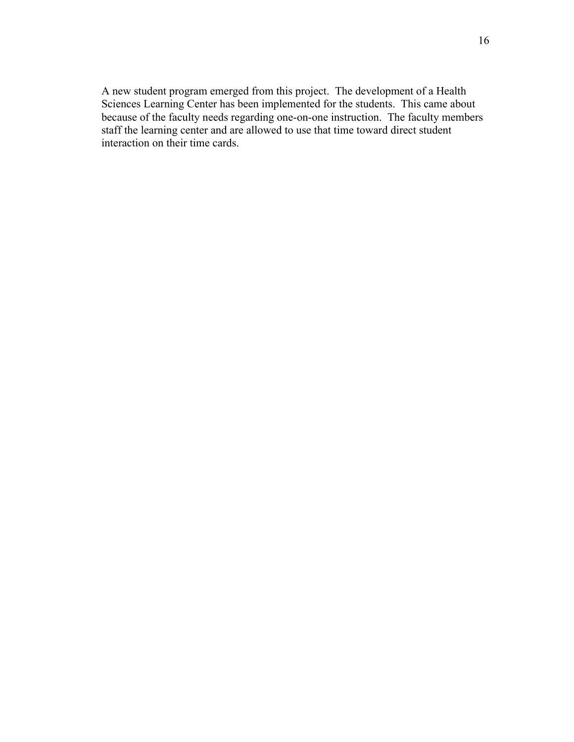A new student program emerged from this project. The development of a Health Sciences Learning Center has been implemented for the students. This came about because of the faculty needs regarding one-on-one instruction. The faculty members staff the learning center and are allowed to use that time toward direct student interaction on their time cards.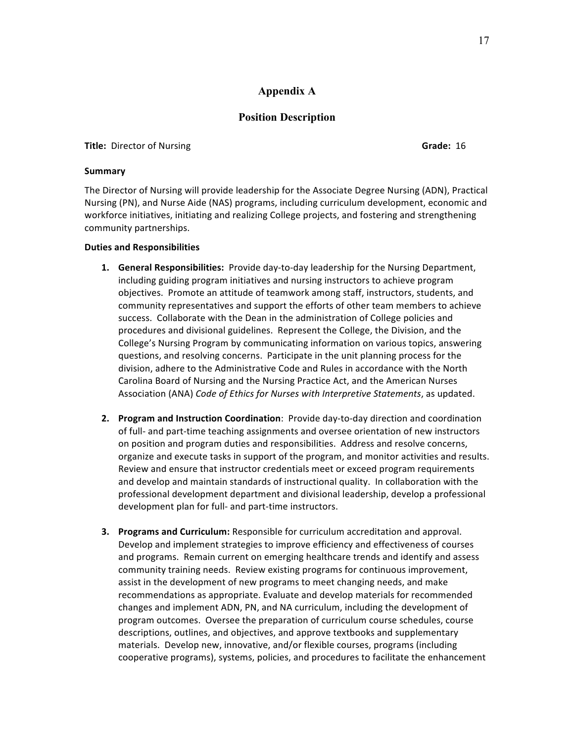### **Appendix A**

### **Position Description**

**Title:** Director of Nursing **Grade:** 16

**Summary**

The Director of Nursing will provide leadership for the Associate Degree Nursing (ADN), Practical Nursing (PN), and Nurse Aide (NAS) programs, including curriculum development, economic and workforce initiatives, initiating and realizing College projects, and fostering and strengthening community partnerships.

### **Duties and Responsibilities**

- **1.** General Responsibilities: Provide day-to-day leadership for the Nursing Department, including guiding program initiatives and nursing instructors to achieve program objectives. Promote an attitude of teamwork among staff, instructors, students, and community representatives and support the efforts of other team members to achieve success. Collaborate with the Dean in the administration of College policies and procedures and divisional guidelines. Represent the College, the Division, and the College's Nursing Program by communicating information on various topics, answering questions, and resolving concerns. Participate in the unit planning process for the division, adhere to the Administrative Code and Rules in accordance with the North Carolina Board of Nursing and the Nursing Practice Act, and the American Nurses Association (ANA) *Code of Ethics for Nurses with Interpretive Statements*, as updated.
- **2.** Program and Instruction Coordination: Provide day-to-day direction and coordination of full- and part-time teaching assignments and oversee orientation of new instructors on position and program duties and responsibilities. Address and resolve concerns, organize and execute tasks in support of the program, and monitor activities and results. Review and ensure that instructor credentials meet or exceed program requirements and develop and maintain standards of instructional quality. In collaboration with the professional development department and divisional leadership, develop a professional development plan for full- and part-time instructors.
- **3. Programs and Curriculum:** Responsible for curriculum accreditation and approval. Develop and implement strategies to improve efficiency and effectiveness of courses and programs. Remain current on emerging healthcare trends and identify and assess community training needs. Review existing programs for continuous improvement, assist in the development of new programs to meet changing needs, and make recommendations as appropriate. Evaluate and develop materials for recommended changes and implement ADN, PN, and NA curriculum, including the development of program outcomes. Oversee the preparation of curriculum course schedules, course descriptions, outlines, and objectives, and approve textbooks and supplementary materials. Develop new, innovative, and/or flexible courses, programs (including cooperative programs), systems, policies, and procedures to facilitate the enhancement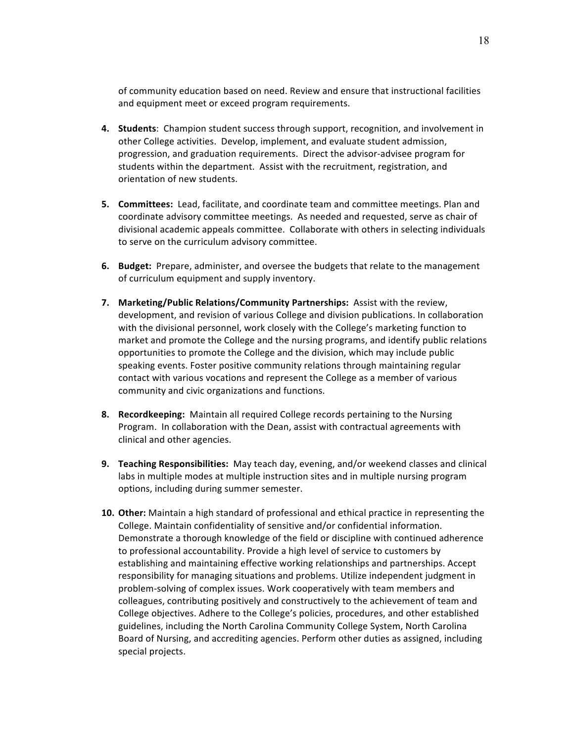of community education based on need. Review and ensure that instructional facilities and equipment meet or exceed program requirements.

- **4. Students**: Champion student success through support, recognition, and involvement in other College activities. Develop, implement, and evaluate student admission, progression, and graduation requirements. Direct the advisor-advisee program for students within the department. Assist with the recruitment, registration, and orientation of new students.
- **5. Committees:** Lead, facilitate, and coordinate team and committee meetings. Plan and coordinate advisory committee meetings. As needed and requested, serve as chair of divisional academic appeals committee. Collaborate with others in selecting individuals to serve on the curriculum advisory committee.
- **6.** Budget: Prepare, administer, and oversee the budgets that relate to the management of curriculum equipment and supply inventory.
- **7.** Marketing/Public Relations/Community Partnerships: Assist with the review, development, and revision of various College and division publications. In collaboration with the divisional personnel, work closely with the College's marketing function to market and promote the College and the nursing programs, and identify public relations opportunities to promote the College and the division, which may include public speaking events. Foster positive community relations through maintaining regular contact with various vocations and represent the College as a member of various community and civic organizations and functions.
- **8. Recordkeeping:** Maintain all required College records pertaining to the Nursing Program. In collaboration with the Dean, assist with contractual agreements with clinical and other agencies.
- **9. Teaching Responsibilities:** May teach day, evening, and/or weekend classes and clinical labs in multiple modes at multiple instruction sites and in multiple nursing program options, including during summer semester.
- **10. Other:** Maintain a high standard of professional and ethical practice in representing the College. Maintain confidentiality of sensitive and/or confidential information. Demonstrate a thorough knowledge of the field or discipline with continued adherence to professional accountability. Provide a high level of service to customers by establishing and maintaining effective working relationships and partnerships. Accept responsibility for managing situations and problems. Utilize independent judgment in problem-solving of complex issues. Work cooperatively with team members and colleagues, contributing positively and constructively to the achievement of team and College objectives. Adhere to the College's policies, procedures, and other established guidelines, including the North Carolina Community College System, North Carolina Board of Nursing, and accrediting agencies. Perform other duties as assigned, including special projects.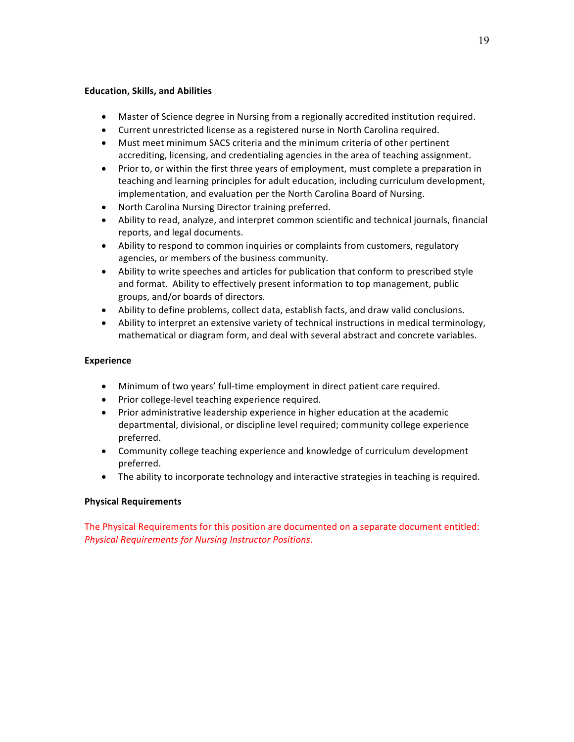### **Education, Skills, and Abilities**

- Master of Science degree in Nursing from a regionally accredited institution required.
- Current unrestricted license as a registered nurse in North Carolina required.
- Must meet minimum SACS criteria and the minimum criteria of other pertinent accrediting, licensing, and credentialing agencies in the area of teaching assignment.
- Prior to, or within the first three years of employment, must complete a preparation in teaching and learning principles for adult education, including curriculum development, implementation, and evaluation per the North Carolina Board of Nursing.
- North Carolina Nursing Director training preferred.
- Ability to read, analyze, and interpret common scientific and technical journals, financial reports, and legal documents.
- Ability to respond to common inquiries or complaints from customers, regulatory agencies, or members of the business community.
- Ability to write speeches and articles for publication that conform to prescribed style and format. Ability to effectively present information to top management, public groups, and/or boards of directors.
- Ability to define problems, collect data, establish facts, and draw valid conclusions.
- Ability to interpret an extensive variety of technical instructions in medical terminology, mathematical or diagram form, and deal with several abstract and concrete variables.

### **Experience**

- Minimum of two years' full-time employment in direct patient care required.
- Prior college-level teaching experience required.
- Prior administrative leadership experience in higher education at the academic departmental, divisional, or discipline level required; community college experience preferred.
- Community college teaching experience and knowledge of curriculum development preferred.
- The ability to incorporate technology and interactive strategies in teaching is required.

### **Physical Requirements**

The Physical Requirements for this position are documented on a separate document entitled: *Physical Requirements for Nursing Instructor Positions*.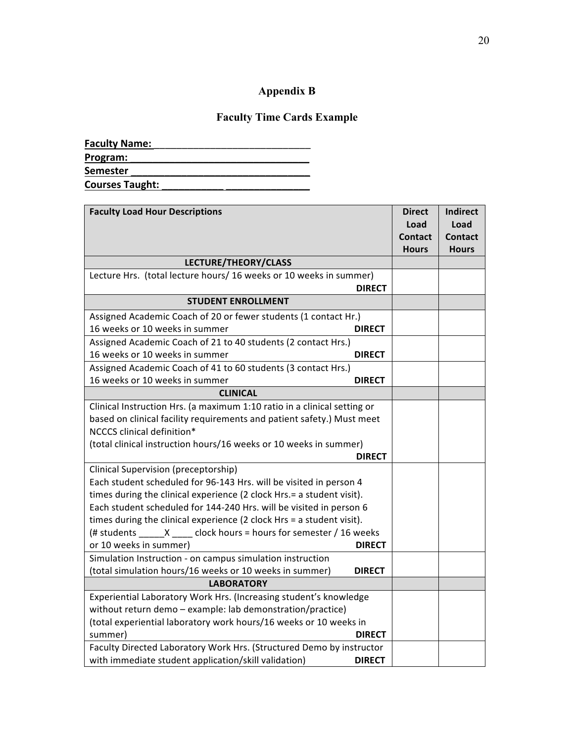# **Appendix B**

## **Faculty Time Cards Example**

| <b>Faculty Name:</b>   |  |
|------------------------|--|
| Program:               |  |
| <b>Semester</b>        |  |
| <b>Courses Taught:</b> |  |

| <b>Faculty Load Hour Descriptions</b>                                    | <b>Direct</b> | <b>Indirect</b> |
|--------------------------------------------------------------------------|---------------|-----------------|
|                                                                          | Load          | Load            |
|                                                                          | Contact       | Contact         |
|                                                                          | <b>Hours</b>  | <b>Hours</b>    |
| LECTURE/THEORY/CLASS                                                     |               |                 |
| Lecture Hrs. (total lecture hours/ 16 weeks or 10 weeks in summer)       |               |                 |
| <b>DIRECT</b>                                                            |               |                 |
| <b>STUDENT ENROLLMENT</b>                                                |               |                 |
| Assigned Academic Coach of 20 or fewer students (1 contact Hr.)          |               |                 |
| 16 weeks or 10 weeks in summer<br><b>DIRECT</b>                          |               |                 |
| Assigned Academic Coach of 21 to 40 students (2 contact Hrs.)            |               |                 |
| 16 weeks or 10 weeks in summer<br><b>DIRECT</b>                          |               |                 |
| Assigned Academic Coach of 41 to 60 students (3 contact Hrs.)            |               |                 |
| 16 weeks or 10 weeks in summer<br><b>DIRECT</b>                          |               |                 |
| <b>CLINICAL</b>                                                          |               |                 |
| Clinical Instruction Hrs. (a maximum 1:10 ratio in a clinical setting or |               |                 |
| based on clinical facility requirements and patient safety.) Must meet   |               |                 |
| NCCCS clinical definition*                                               |               |                 |
| (total clinical instruction hours/16 weeks or 10 weeks in summer)        |               |                 |
| <b>DIRECT</b>                                                            |               |                 |
| Clinical Supervision (preceptorship)                                     |               |                 |
| Each student scheduled for 96-143 Hrs. will be visited in person 4       |               |                 |
| times during the clinical experience (2 clock Hrs.= a student visit).    |               |                 |
| Each student scheduled for 144-240 Hrs. will be visited in person 6      |               |                 |
| times during the clinical experience (2 clock Hrs = a student visit).    |               |                 |
| (# students $_{\_}X_{\_}$ clock hours = hours for semester / 16 weeks    |               |                 |
| or 10 weeks in summer)<br><b>DIRECT</b>                                  |               |                 |
| Simulation Instruction - on campus simulation instruction                |               |                 |
| (total simulation hours/16 weeks or 10 weeks in summer)<br><b>DIRECT</b> |               |                 |
| <b>LABORATORY</b>                                                        |               |                 |
| Experiential Laboratory Work Hrs. (Increasing student's knowledge        |               |                 |
| without return demo - example: lab demonstration/practice)               |               |                 |
| (total experiential laboratory work hours/16 weeks or 10 weeks in        |               |                 |
| summer)<br><b>DIRECT</b>                                                 |               |                 |
| Faculty Directed Laboratory Work Hrs. (Structured Demo by instructor     |               |                 |
| with immediate student application/skill validation)<br><b>DIRECT</b>    |               |                 |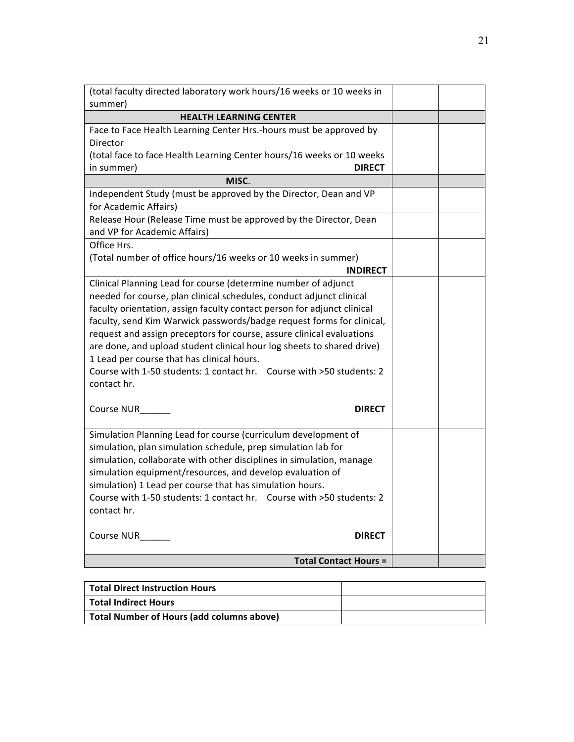| (total faculty directed laboratory work hours/16 weeks or 10 weeks in                     |  |
|-------------------------------------------------------------------------------------------|--|
| summer)                                                                                   |  |
| <b>HEALTH LEARNING CENTER</b>                                                             |  |
| Face to Face Health Learning Center Hrs.-hours must be approved by                        |  |
| Director                                                                                  |  |
| (total face to face Health Learning Center hours/16 weeks or 10 weeks                     |  |
| <b>DIRECT</b><br>in summer)                                                               |  |
| MISC.                                                                                     |  |
| Independent Study (must be approved by the Director, Dean and VP<br>for Academic Affairs) |  |
| Release Hour (Release Time must be approved by the Director, Dean                         |  |
| and VP for Academic Affairs)                                                              |  |
| Office Hrs.                                                                               |  |
| (Total number of office hours/16 weeks or 10 weeks in summer)                             |  |
| <b>INDIRECT</b>                                                                           |  |
| Clinical Planning Lead for course (determine number of adjunct                            |  |
| needed for course, plan clinical schedules, conduct adjunct clinical                      |  |
| faculty orientation, assign faculty contact person for adjunct clinical                   |  |
| faculty, send Kim Warwick passwords/badge request forms for clinical,                     |  |
| request and assign preceptors for course, assure clinical evaluations                     |  |
| are done, and upload student clinical hour log sheets to shared drive)                    |  |
| 1 Lead per course that has clinical hours.                                                |  |
| Course with 1-50 students: 1 contact hr. Course with >50 students: 2                      |  |
| contact hr.                                                                               |  |
| Course NUR<br><b>DIRECT</b>                                                               |  |
|                                                                                           |  |
| Simulation Planning Lead for course (curriculum development of                            |  |
| simulation, plan simulation schedule, prep simulation lab for                             |  |
| simulation, collaborate with other disciplines in simulation, manage                      |  |
| simulation equipment/resources, and develop evaluation of                                 |  |
| simulation) 1 Lead per course that has simulation hours.                                  |  |
| Course with 1-50 students: 1 contact hr. Course with >50 students: 2                      |  |
| contact hr.                                                                               |  |
| Course NUR<br><b>DIRECT</b>                                                               |  |
|                                                                                           |  |
| <b>Total Contact Hours =</b>                                                              |  |

| <b>Total Direct Instruction Hours</b>            |  |
|--------------------------------------------------|--|
| <b>Total Indirect Hours</b>                      |  |
| <b>Total Number of Hours (add columns above)</b> |  |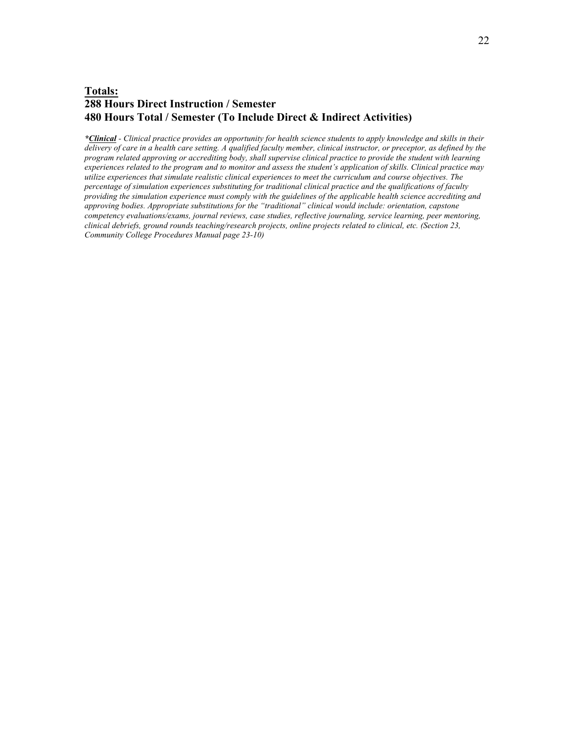### **Totals: 288 Hours Direct Instruction / Semester 480 Hours Total / Semester (To Include Direct & Indirect Activities)**

*\*Clinical - Clinical practice provides an opportunity for health science students to apply knowledge and skills in their delivery of care in a health care setting. A qualified faculty member, clinical instructor, or preceptor, as defined by the program related approving or accrediting body, shall supervise clinical practice to provide the student with learning experiences related to the program and to monitor and assess the student's application of skills. Clinical practice may utilize experiences that simulate realistic clinical experiences to meet the curriculum and course objectives. The percentage of simulation experiences substituting for traditional clinical practice and the qualifications of faculty providing the simulation experience must comply with the guidelines of the applicable health science accrediting and approving bodies. Appropriate substitutions for the "traditional" clinical would include: orientation, capstone competency evaluations/exams, journal reviews, case studies, reflective journaling, service learning, peer mentoring, clinical debriefs, ground rounds teaching/research projects, online projects related to clinical, etc. (Section 23, Community College Procedures Manual page 23-10)*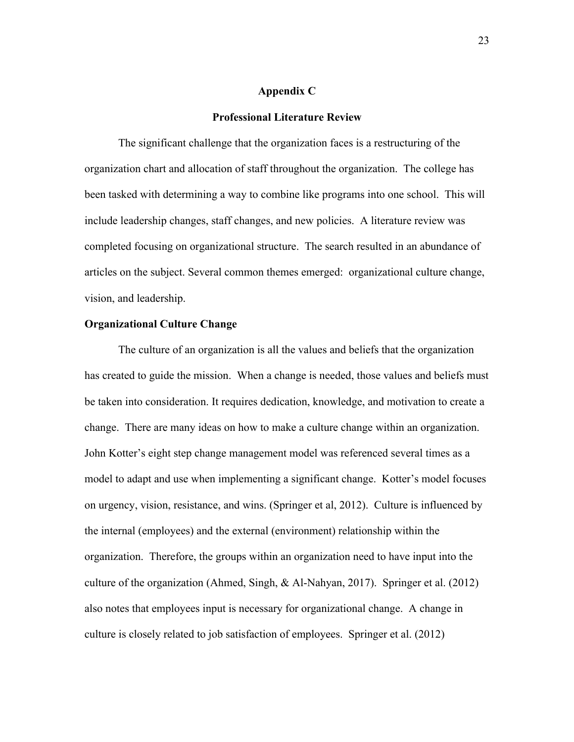#### **Appendix C**

#### **Professional Literature Review**

The significant challenge that the organization faces is a restructuring of the organization chart and allocation of staff throughout the organization. The college has been tasked with determining a way to combine like programs into one school. This will include leadership changes, staff changes, and new policies. A literature review was completed focusing on organizational structure. The search resulted in an abundance of articles on the subject. Several common themes emerged: organizational culture change, vision, and leadership.

### **Organizational Culture Change**

The culture of an organization is all the values and beliefs that the organization has created to guide the mission. When a change is needed, those values and beliefs must be taken into consideration. It requires dedication, knowledge, and motivation to create a change. There are many ideas on how to make a culture change within an organization. John Kotter's eight step change management model was referenced several times as a model to adapt and use when implementing a significant change. Kotter's model focuses on urgency, vision, resistance, and wins. (Springer et al, 2012). Culture is influenced by the internal (employees) and the external (environment) relationship within the organization. Therefore, the groups within an organization need to have input into the culture of the organization (Ahmed, Singh, & Al-Nahyan, 2017). Springer et al. (2012) also notes that employees input is necessary for organizational change. A change in culture is closely related to job satisfaction of employees. Springer et al. (2012)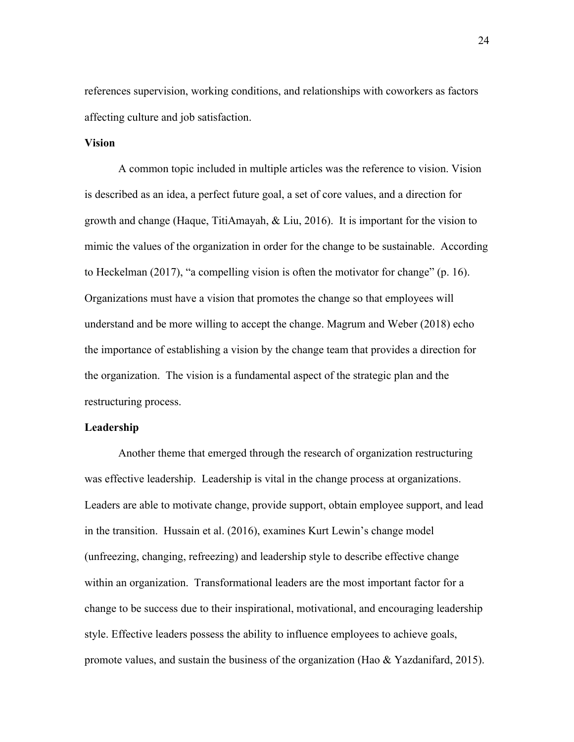references supervision, working conditions, and relationships with coworkers as factors affecting culture and job satisfaction.

### **Vision**

A common topic included in multiple articles was the reference to vision. Vision is described as an idea, a perfect future goal, a set of core values, and a direction for growth and change (Haque, TitiAmayah, & Liu, 2016). It is important for the vision to mimic the values of the organization in order for the change to be sustainable. According to Heckelman (2017), "a compelling vision is often the motivator for change" (p. 16). Organizations must have a vision that promotes the change so that employees will understand and be more willing to accept the change. Magrum and Weber (2018) echo the importance of establishing a vision by the change team that provides a direction for the organization. The vision is a fundamental aspect of the strategic plan and the restructuring process.

### **Leadership**

Another theme that emerged through the research of organization restructuring was effective leadership. Leadership is vital in the change process at organizations. Leaders are able to motivate change, provide support, obtain employee support, and lead in the transition. Hussain et al. (2016), examines Kurt Lewin's change model (unfreezing, changing, refreezing) and leadership style to describe effective change within an organization. Transformational leaders are the most important factor for a change to be success due to their inspirational, motivational, and encouraging leadership style. Effective leaders possess the ability to influence employees to achieve goals, promote values, and sustain the business of the organization (Hao  $\&$  Yazdanifard, 2015).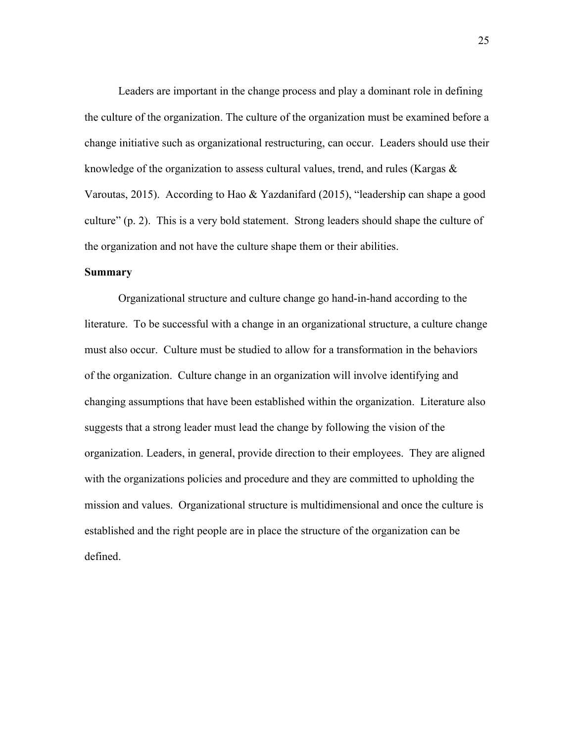Leaders are important in the change process and play a dominant role in defining the culture of the organization. The culture of the organization must be examined before a change initiative such as organizational restructuring, can occur. Leaders should use their knowledge of the organization to assess cultural values, trend, and rules (Kargas  $\&$ Varoutas, 2015). According to Hao & Yazdanifard (2015), "leadership can shape a good culture" (p. 2). This is a very bold statement. Strong leaders should shape the culture of the organization and not have the culture shape them or their abilities.

### **Summary**

Organizational structure and culture change go hand-in-hand according to the literature. To be successful with a change in an organizational structure, a culture change must also occur. Culture must be studied to allow for a transformation in the behaviors of the organization. Culture change in an organization will involve identifying and changing assumptions that have been established within the organization. Literature also suggests that a strong leader must lead the change by following the vision of the organization. Leaders, in general, provide direction to their employees. They are aligned with the organizations policies and procedure and they are committed to upholding the mission and values. Organizational structure is multidimensional and once the culture is established and the right people are in place the structure of the organization can be defined.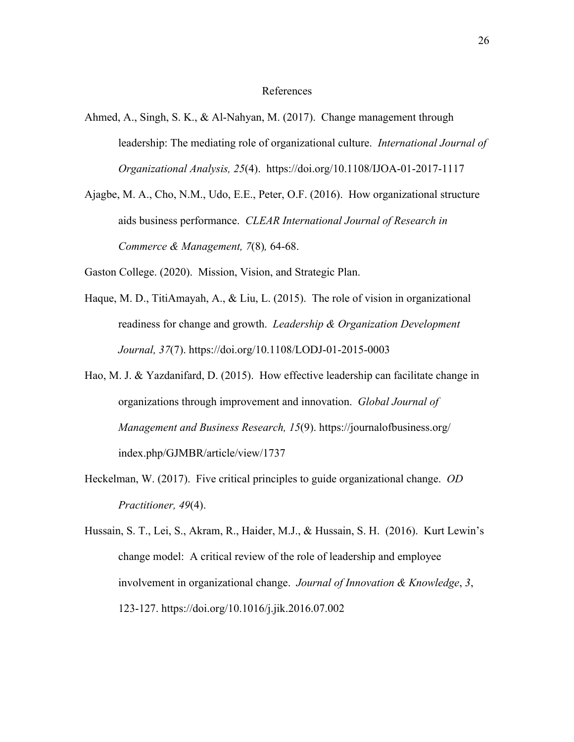#### References

- Ahmed, A., Singh, S. K., & Al-Nahyan, M. (2017). Change management through leadership: The mediating role of organizational culture. *International Journal of Organizational Analysis, 25*(4). https://doi.org/10.1108/IJOA-01-2017-1117
- Ajagbe, M. A., Cho, N.M., Udo, E.E., Peter, O.F. (2016). How organizational structure aids business performance. *CLEAR International Journal of Research in Commerce & Management, 7*(8)*,* 64-68.

Gaston College. (2020). Mission, Vision, and Strategic Plan.

- Haque, M. D., TitiAmayah, A., & Liu, L. (2015). The role of vision in organizational readiness for change and growth. *Leadership & Organization Development Journal, 37*(7). https://doi.org/10.1108/LODJ-01-2015-0003
- Hao, M. J. & Yazdanifard, D. (2015). How effective leadership can facilitate change in organizations through improvement and innovation. *Global Journal of Management and Business Research, 15*(9). https://journalofbusiness.org/ index.php/GJMBR/article/view/1737
- Heckelman, W. (2017). Five critical principles to guide organizational change. *OD Practitioner, 49*(4).
- Hussain, S. T., Lei, S., Akram, R., Haider, M.J., & Hussain, S. H. (2016). Kurt Lewin's change model: A critical review of the role of leadership and employee involvement in organizational change. *Journal of Innovation & Knowledge*, *3*, 123-127. https://doi.org/10.1016/j.jik.2016.07.002